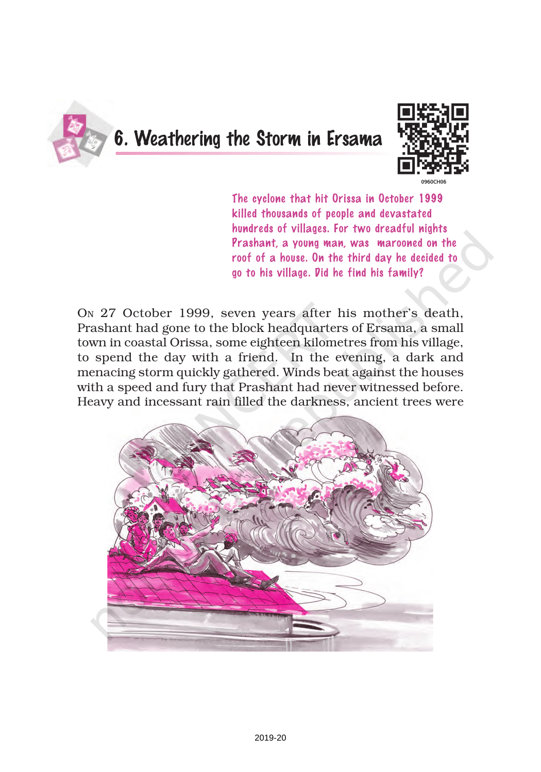

## 6. Weathering the Storm in Ersama



The cyclone that hit Orissa in October 1999 killed thousands of people and devastated hundreds of villages. For two dreadful nights Prashant, a young man, was marooned on the roof of a house. On the third day he decided to go to his village. Did he find his family?

ON 27 October 1999, seven years after his mother's death, Prashant had gone to the block headquarters of Ersama, a small town in coastal Orissa, some eighteen kilometres from his village, to spend the day with a friend. In the evening, a dark and menacing storm quickly gathered. Winds beat against the houses with a speed and fury that Prashant had never witnessed before. Heavy and incessant rain filled the darkness, ancient trees were

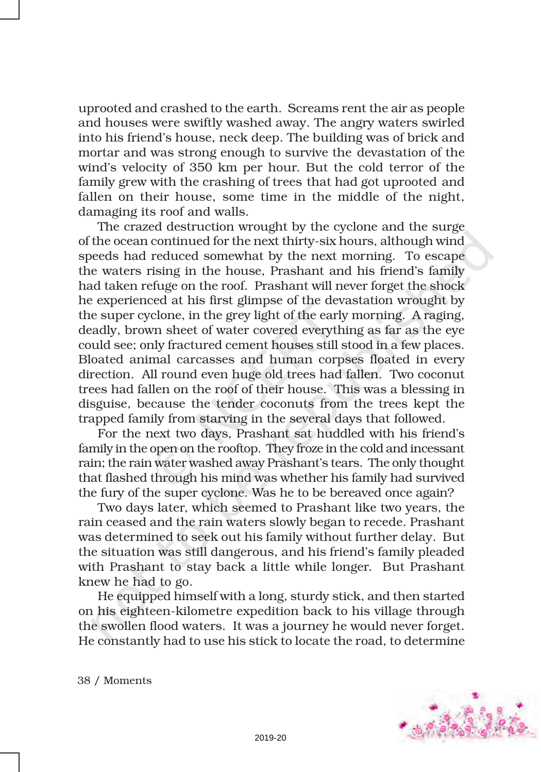uprooted and crashed to the earth. Screams rent the air as people and houses were swiftly washed away. The angry waters swirled into his friend's house, neck deep. The building was of brick and mortar and was strong enough to survive the devastation of the wind's velocity of 350 km per hour. But the cold terror of the family grew with the crashing of trees that had got uprooted and fallen on their house, some time in the middle of the night, damaging its roof and walls.

The crazed destruction wrought by the cyclone and the surge of the ocean continued for the next thirty-six hours, although wind speeds had reduced somewhat by the next morning. To escape the waters rising in the house, Prashant and his friend's family had taken refuge on the roof. Prashant will never forget the shock he experienced at his first glimpse of the devastation wrought by the super cyclone, in the grey light of the early morning. A raging, deadly, brown sheet of water covered everything as far as the eye could see; only fractured cement houses still stood in a few places. Bloated animal carcasses and human corpses floated in every direction. All round even huge old trees had fallen. Two coconut trees had fallen on the roof of their house. This was a blessing in disguise, because the tender coconuts from the trees kept the trapped family from starving in the several days that followed.

For the next two days, Prashant sat huddled with his friend's family in the open on the rooftop. They froze in the cold and incessant rain; the rain water washed away Prashant's tears. The only thought that flashed through his mind was whether his family had survived the fury of the super cyclone. Was he to be bereaved once again?

Two days later, which seemed to Prashant like two years, the rain ceased and the rain waters slowly began to recede. Prashant was determined to seek out his family without further delay. But the situation was still dangerous, and his friend's family pleaded with Prashant to stay back a little while longer. But Prashant knew he had to go.

He equipped himself with a long, sturdy stick, and then started on his eighteen-kilometre expedition back to his village through the swollen flood waters. It was a journey he would never forget. He constantly had to use his stick to locate the road, to determine



38 / Moments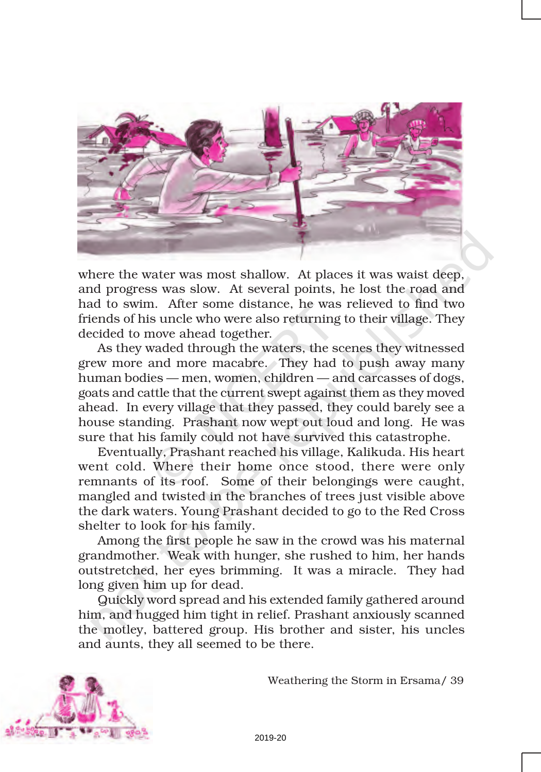

where the water was most shallow. At places it was waist deep, and progress was slow. At several points, he lost the road and had to swim. After some distance, he was relieved to find two friends of his uncle who were also returning to their village. They decided to move ahead together.

As they waded through the waters, the scenes they witnessed grew more and more macabre. They had to push away many human bodies — men, women, children — and carcasses of dogs, goats and cattle that the current swept against them as they moved ahead. In every village that they passed, they could barely see a house standing. Prashant now wept out loud and long. He was sure that his family could not have survived this catastrophe.

Eventually, Prashant reached his village, Kalikuda. His heart went cold. Where their home once stood, there were only remnants of its roof. Some of their belongings were caught, mangled and twisted in the branches of trees just visible above the dark waters. Young Prashant decided to go to the Red Cross shelter to look for his family.

Among the first people he saw in the crowd was his maternal grandmother. Weak with hunger, she rushed to him, her hands outstretched, her eyes brimming. It was a miracle. They had long given him up for dead.

Quickly word spread and his extended family gathered around him, and hugged him tight in relief. Prashant anxiously scanned the motley, battered group. His brother and sister, his uncles and aunts, they all seemed to be there.



Weathering the Storm in Ersama/ 39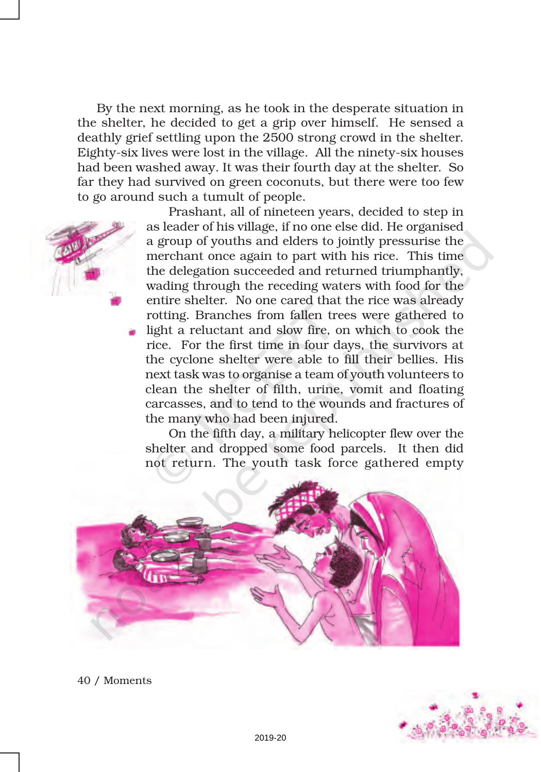By the next morning, as he took in the desperate situation in the shelter, he decided to get a grip over himself. He sensed a deathly grief settling upon the 2500 strong crowd in the shelter. Eighty-six lives were lost in the village. All the ninety-six houses had been washed away. It was their fourth day at the shelter. So far they had survived on green coconuts, but there were too few to go around such a tumult of people.



Prashant, all of nineteen years, decided to step in as leader of his village, if no one else did. He organised a group of youths and elders to jointly pressurise the merchant once again to part with his rice. This time the delegation succeeded and returned triumphantly, wading through the receding waters with food for the entire shelter. No one cared that the rice was already rotting. Branches from fallen trees were gathered to light a reluctant and slow fire, on which to cook the rice. For the first time in four days, the survivors at the cyclone shelter were able to fill their bellies. His next task was to organise a team of youth volunteers to clean the shelter of filth, urine, vomit and floating carcasses, and to tend to the wounds and fractures of the many who had been injured.

On the fifth day, a military helicopter flew over the shelter and dropped some food parcels. It then did not return. The youth task force gathered empty





40 / Moments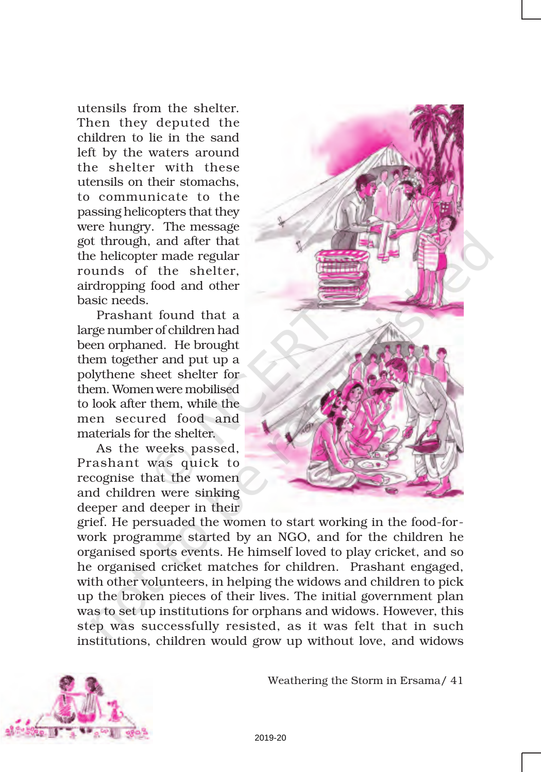utensils from the shelter. Then they deputed the children to lie in the sand left by the waters around the shelter with these utensils on their stomachs, to communicate to the passing helicopters that they were hungry. The message got through, and after that the helicopter made regular rounds of the shelter, airdropping food and other basic needs.

Prashant found that a large number of children had been orphaned. He brought them together and put up a polythene sheet shelter for them. Women were mobilised to look after them, while the men secured food and materials for the shelter.

As the weeks passed, Prashant was quick to recognise that the women and children were sinking deeper and deeper in their



grief. He persuaded the women to start working in the food-forwork programme started by an NGO, and for the children he organised sports events. He himself loved to play cricket, and so he organised cricket matches for children. Prashant engaged, with other volunteers, in helping the widows and children to pick up the broken pieces of their lives. The initial government plan was to set up institutions for orphans and widows. However, this step was successfully resisted, as it was felt that in such institutions, children would grow up without love, and widows



Weathering the Storm in Ersama/ 41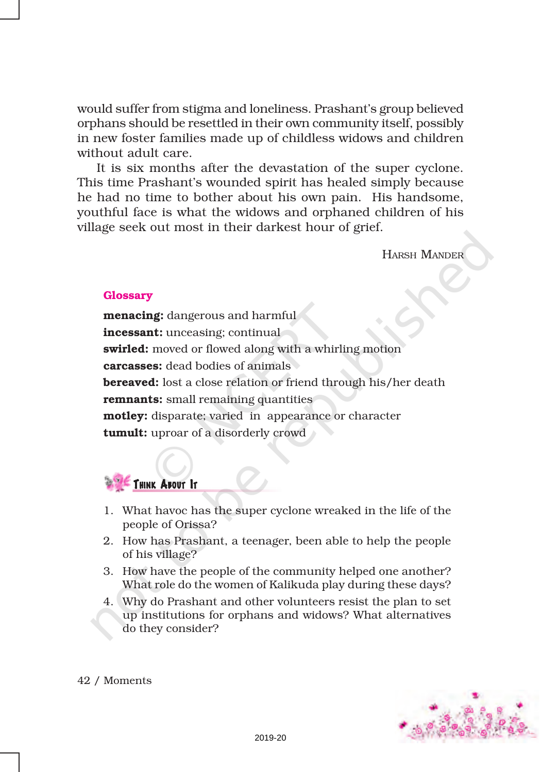would suffer from stigma and loneliness. Prashant's group believed orphans should be resettled in their own community itself, possibly in new foster families made up of childless widows and children without adult care.

It is six months after the devastation of the super cyclone. This time Prashant's wounded spirit has healed simply because he had no time to bother about his own pain. His handsome, youthful face is what the widows and orphaned children of his village seek out most in their darkest hour of grief.

HARSH MANDER

## **Glossary**

menacing: dangerous and harmful incessant: unceasing; continual swirled: moved or flowed along with a whirling motion carcasses: dead bodies of animals **bereaved:** lost a close relation or friend through his/her death **remnants:** small remaining quantities **motley:** disparate; varied in appearance or character **tumult:** uproar of a disorderly crowd

## THINK ABOUT IT

- 1. What havoc has the super cyclone wreaked in the life of the people of Orissa?
- 2. How has Prashant, a teenager, been able to help the people of his village?
- 3. How have the people of the community helped one another? What role do the women of Kalikuda play during these days?
- 4. Why do Prashant and other volunteers resist the plan to set up institutions for orphans and widows? What alternatives do they consider?



42 / Moments